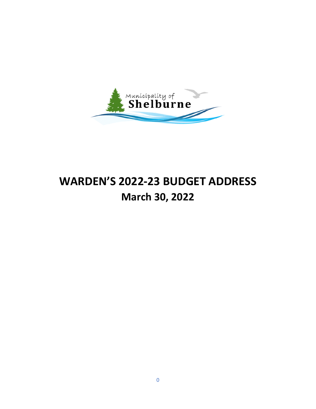

# **WARDEN'S 2022-23 BUDGET ADDRESS March 30, 2022**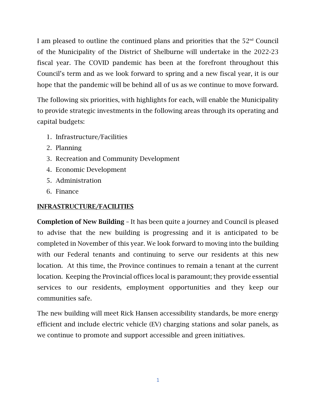I am pleased to outline the continued plans and priorities that the  $52<sup>nd</sup>$  Council of the Municipality of the District of Shelburne will undertake in the 2022-23 fiscal year. The COVID pandemic has been at the forefront throughout this Council's term and as we look forward to spring and a new fiscal year, it is our hope that the pandemic will be behind all of us as we continue to move forward.

The following six priorities, with highlights for each, will enable the Municipality to provide strategic investments in the following areas through its operating and capital budgets:

- 1. Infrastructure/Facilities
- 2. Planning
- 3. Recreation and Community Development
- 4. Economic Development
- 5. Administration
- 6. Finance

# INFRASTRUCTURE/FACILITIES

Completion of New Building – It has been quite a journey and Council is pleased to advise that the new building is progressing and it is anticipated to be completed in November of this year. We look forward to moving into the building with our Federal tenants and continuing to serve our residents at this new location. At this time, the Province continues to remain a tenant at the current location. Keeping the Provincial offices local is paramount; they provide essential services to our residents, employment opportunities and they keep our communities safe.

The new building will meet Rick Hansen accessibility standards, be more energy efficient and include electric vehicle (EV) charging stations and solar panels, as we continue to promote and support accessible and green initiatives.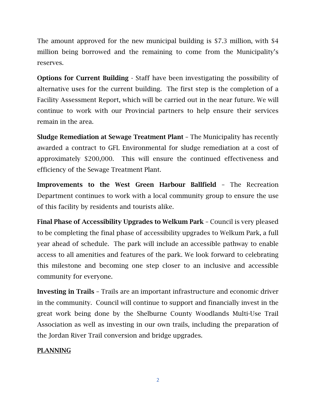The amount approved for the new municipal building is \$7.3 million, with \$4 million being borrowed and the remaining to come from the Municipality's reserves.

Options for Current Building - Staff have been investigating the possibility of alternative uses for the current building. The first step is the completion of a Facility Assessment Report, which will be carried out in the near future. We will continue to work with our Provincial partners to help ensure their services remain in the area.

Sludge Remediation at Sewage Treatment Plant – The Municipality has recently awarded a contract to GFL Environmental for sludge remediation at a cost of approximately \$200,000. This will ensure the continued effectiveness and efficiency of the Sewage Treatment Plant.

Improvements to the West Green Harbour Ballfield – The Recreation Department continues to work with a local community group to ensure the use of this facility by residents and tourists alike.

Final Phase of Accessibility Upgrades to Welkum Park – Council is very pleased to be completing the final phase of accessibility upgrades to Welkum Park, a full year ahead of schedule. The park will include an accessible pathway to enable access to all amenities and features of the park. We look forward to celebrating this milestone and becoming one step closer to an inclusive and accessible community for everyone.

Investing in Trails – Trails are an important infrastructure and economic driver in the community. Council will continue to support and financially invest in the great work being done by the Shelburne County Woodlands Multi-Use Trail Association as well as investing in our own trails, including the preparation of the Jordan River Trail conversion and bridge upgrades.

## PLANNING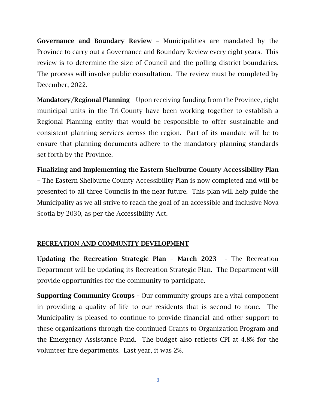Governance and Boundary Review – Municipalities are mandated by the Province to carry out a Governance and Boundary Review every eight years. This review is to determine the size of Council and the polling district boundaries. The process will involve public consultation. The review must be completed by December, 2022.

Mandatory/Regional Planning - Upon receiving funding from the Province, eight municipal units in the Tri-County have been working together to establish a Regional Planning entity that would be responsible to offer sustainable and consistent planning services across the region. Part of its mandate will be to ensure that planning documents adhere to the mandatory planning standards set forth by the Province.

Finalizing and Implementing the Eastern Shelburne County Accessibility Plan – The Eastern Shelburne County Accessibility Plan is now completed and will be presented to all three Councils in the near future. This plan will help guide the Municipality as we all strive to reach the goal of an accessible and inclusive Nova Scotia by 2030, as per the Accessibility Act.

# RECREATION AND COMMUNITY DEVELOPMENT

Updating the Recreation Strategic Plan – March 2023 - The Recreation Department will be updating its Recreation Strategic Plan. The Department will provide opportunities for the community to participate.

Supporting Community Groups – Our community groups are a vital component in providing a quality of life to our residents that is second to none. The Municipality is pleased to continue to provide financial and other support to these organizations through the continued Grants to Organization Program and the Emergency Assistance Fund. The budget also reflects CPI at 4.8% for the volunteer fire departments. Last year, it was 2%.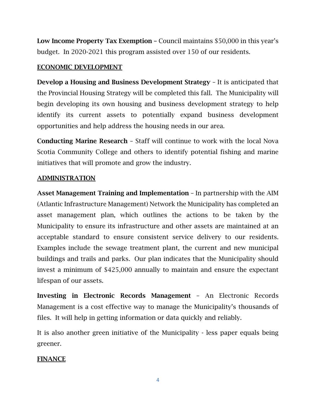Low Income Property Tax Exemption – Council maintains \$50,000 in this year's budget. In 2020-2021 this program assisted over 150 of our residents.

## ECONOMIC DEVELOPMENT

Develop a Housing and Business Development Strategy – It is anticipated that the Provincial Housing Strategy will be completed this fall. The Municipality will begin developing its own housing and business development strategy to help identify its current assets to potentially expand business development opportunities and help address the housing needs in our area.

Conducting Marine Research – Staff will continue to work with the local Nova Scotia Community College and others to identify potential fishing and marine initiatives that will promote and grow the industry.

#### ADMINISTRATION

Asset Management Training and Implementation – In partnership with the AIM (Atlantic Infrastructure Management) Network the Municipality has completed an asset management plan, which outlines the actions to be taken by the Municipality to ensure its infrastructure and other assets are maintained at an acceptable standard to ensure consistent service delivery to our residents. Examples include the sewage treatment plant, the current and new municipal buildings and trails and parks. Our plan indicates that the Municipality should invest a minimum of \$425,000 annually to maintain and ensure the expectant lifespan of our assets.

Investing in Electronic Records Management – An Electronic Records Management is a cost effective way to manage the Municipality's thousands of files. It will help in getting information or data quickly and reliably.

It is also another green initiative of the Municipality - less paper equals being greener.

## FINANCE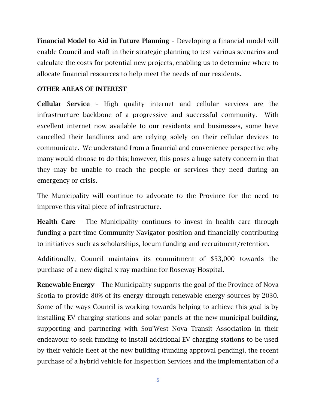Financial Model to Aid in Future Planning – Developing a financial model will enable Council and staff in their strategic planning to test various scenarios and calculate the costs for potential new projects, enabling us to determine where to allocate financial resources to help meet the needs of our residents.

#### OTHER AREAS OF INTEREST

Cellular Service – High quality internet and cellular services are the infrastructure backbone of a progressive and successful community. With excellent internet now available to our residents and businesses, some have cancelled their landlines and are relying solely on their cellular devices to communicate. We understand from a financial and convenience perspective why many would choose to do this; however, this poses a huge safety concern in that they may be unable to reach the people or services they need during an emergency or crisis.

The Municipality will continue to advocate to the Province for the need to improve this vital piece of infrastructure.

Health Care – The Municipality continues to invest in health care through funding a part-time Community Navigator position and financially contributing to initiatives such as scholarships, locum funding and recruitment/retention.

Additionally, Council maintains its commitment of \$53,000 towards the purchase of a new digital x-ray machine for Roseway Hospital.

Renewable Energy – The Municipality supports the goal of the Province of Nova Scotia to provide 80% of its energy through renewable energy sources by 2030. Some of the ways Council is working towards helping to achieve this goal is by installing EV charging stations and solar panels at the new municipal building, supporting and partnering with Sou'West Nova Transit Association in their endeavour to seek funding to install additional EV charging stations to be used by their vehicle fleet at the new building (funding approval pending), the recent purchase of a hybrid vehicle for Inspection Services and the implementation of a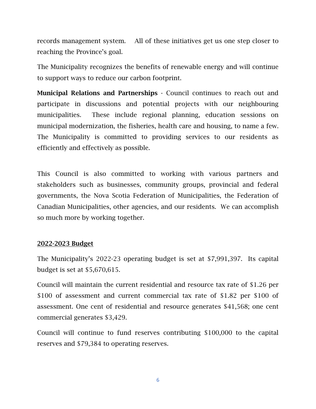records management system. All of these initiatives get us one step closer to reaching the Province's goal.

The Municipality recognizes the benefits of renewable energy and will continue to support ways to reduce our carbon footprint.

Municipal Relations and Partnerships - Council continues to reach out and participate in discussions and potential projects with our neighbouring municipalities. These include regional planning, education sessions on municipal modernization, the fisheries, health care and housing, to name a few. The Municipality is committed to providing services to our residents as efficiently and effectively as possible.

This Council is also committed to working with various partners and stakeholders such as businesses, community groups, provincial and federal governments, the Nova Scotia Federation of Municipalities, the Federation of Canadian Municipalities, other agencies, and our residents. We can accomplish so much more by working together.

#### 2022-2023 Budget

The Municipality's 2022-23 operating budget is set at \$7,991,397. Its capital budget is set at \$5,670,615.

Council will maintain the current residential and resource tax rate of \$1.26 per \$100 of assessment and current commercial tax rate of \$1.82 per \$100 of assessment. One cent of residential and resource generates \$41,568; one cent commercial generates \$3,429.

Council will continue to fund reserves contributing \$100,000 to the capital reserves and \$79,384 to operating reserves.

6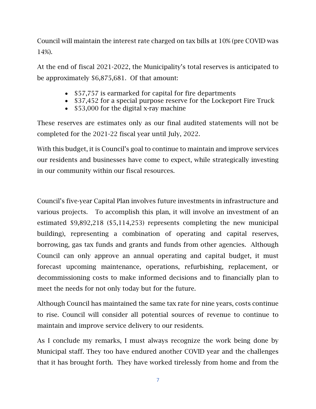Council will maintain the interest rate charged on tax bills at 10% (pre COVID was 14%).

At the end of fiscal 2021-2022, the Municipality's total reserves is anticipated to be approximately \$6,875,681. Of that amount:

- \$57,757 is earmarked for capital for fire departments
- \$37,452 for a special purpose reserve for the Lockeport Fire Truck
- \$53,000 for the digital x-ray machine

These reserves are estimates only as our final audited statements will not be completed for the 2021-22 fiscal year until July, 2022.

With this budget, it is Council's goal to continue to maintain and improve services our residents and businesses have come to expect, while strategically investing in our community within our fiscal resources.

Council's five-year Capital Plan involves future investments in infrastructure and various projects. To accomplish this plan, it will involve an investment of an estimated \$9,892,218 (\$5,114,253) represents completing the new municipal building), representing a combination of operating and capital reserves, borrowing, gas tax funds and grants and funds from other agencies. Although Council can only approve an annual operating and capital budget, it must forecast upcoming maintenance, operations, refurbishing, replacement, or decommissioning costs to make informed decisions and to financially plan to meet the needs for not only today but for the future.

Although Council has maintained the same tax rate for nine years, costs continue to rise. Council will consider all potential sources of revenue to continue to maintain and improve service delivery to our residents.

As I conclude my remarks, I must always recognize the work being done by Municipal staff. They too have endured another COVID year and the challenges that it has brought forth. They have worked tirelessly from home and from the